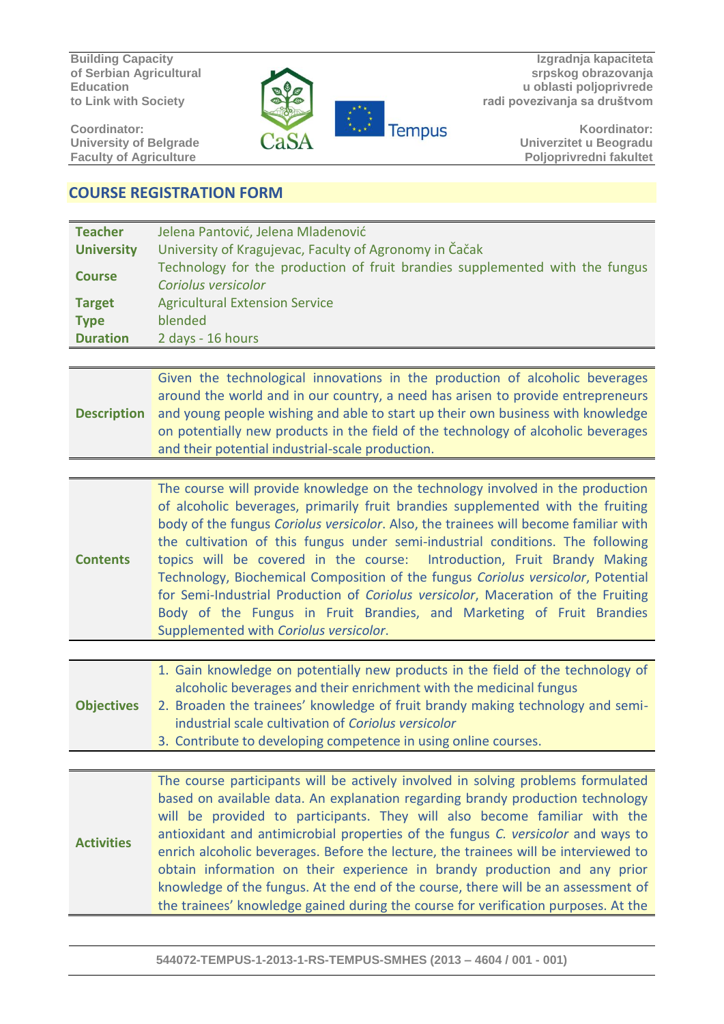**Building Capacity of Serbian Agricultural Education to Link with Society** 

**Coordinator: University of Belgrade Faculty of Agriculture** 



**Izgradnja kapaciteta srpskog obrazovanja u oblasti poljoprivrede radi povezivanja sa društvom**

> **Koordinator: Univerzitet u Beogradu Poljoprivredni fakultet**

## **COURSE REGISTRATION FORM**

| <b>Teacher</b>     | Jelena Pantović, Jelena Mladenović                                                                  |
|--------------------|-----------------------------------------------------------------------------------------------------|
| <b>University</b>  | University of Kragujevac, Faculty of Agronomy in Čačak                                              |
| <b>Course</b>      | Technology for the production of fruit brandies supplemented with the fungus<br>Coriolus versicolor |
| <b>Target</b>      | <b>Agricultural Extension Service</b>                                                               |
| <b>Type</b>        | blended                                                                                             |
| <b>Duration</b>    | 2 days - 16 hours                                                                                   |
|                    |                                                                                                     |
|                    | Given the technological innovations in the production of alcoholic beverages                        |
|                    | around the world and in our country, a need has arisen to provide entrepreneurs                     |
| <b>Description</b> | and young people wishing and able to start up their own business with knowledge                     |
|                    | on potentially new products in the field of the technology of alcoholic beverages                   |

**Contents** The course will provide knowledge on the technology involved in the production of alcoholic beverages, primarily fruit brandies supplemented with the fruiting body of the fungus *Coriolus versicolor*. Also, the trainees will become familiar with the cultivation of this fungus under semi-industrial conditions. The following topics will be covered in the course: Introduction, Fruit Brandy Making Technology, Biochemical Composition of the fungus *Coriolus versicolor*, Potential for Semi-Industrial Production of *Coriolus versicolor*, Maceration of the Fruiting Body of the Fungus in Fruit Brandies, and Marketing of Fruit Brandies Supplemented with *Coriolus versicolor*.

and their potential industrial-scale production.

**Objectives**  1. Gain knowledge on potentially new products in the field of the technology of alcoholic beverages and their enrichment with the medicinal fungus 2. Broaden the trainees' knowledge of fruit brandy making technology and semiindustrial scale cultivation of *Coriolus versicolor*

3. Contribute to developing competence in using online courses.

**Activities**  The course participants will be actively involved in solving problems formulated based on available data. An explanation regarding brandy production technology will be provided to participants. They will also become familiar with the antioxidant and antimicrobial properties of the fungus *C. versicolor* and ways to enrich alcoholic beverages. Before the lecture, the trainees will be interviewed to obtain information on their experience in brandy production and any prior knowledge of the fungus. At the end of the course, there will be an assessment of the trainees' knowledge gained during the course for verification purposes. At the